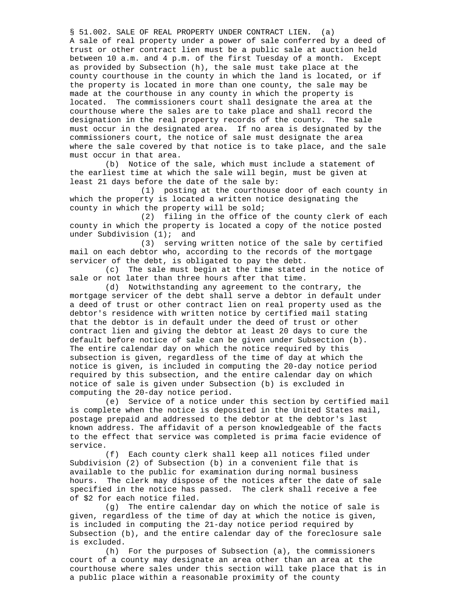§ 51.002. SALE OF REAL PROPERTY UNDER CONTRACT LIEN. (a) A sale of real property under a power of sale conferred by a deed of trust or other contract lien must be a public sale at auction held between 10 a.m. and 4 p.m. of the first Tuesday of a month. Except as provided by Subsection (h), the sale must take place at the county courthouse in the county in which the land is located, or if the property is located in more than one county, the sale may be made at the courthouse in any county in which the property is located. The commissioners court shall designate the area at the courthouse where the sales are to take place and shall record the designation in the real property records of the county. The sale must occur in the designated area. If no area is designated by the commissioners court, the notice of sale must designate the area where the sale covered by that notice is to take place, and the sale must occur in that area.

 (b) Notice of the sale, which must include a statement of the earliest time at which the sale will begin, must be given at least 21 days before the date of the sale by:

 (1) posting at the courthouse door of each county in which the property is located a written notice designating the county in which the property will be sold;

 (2) filing in the office of the county clerk of each county in which the property is located a copy of the notice posted under Subdivision (1); and

 (3) serving written notice of the sale by certified mail on each debtor who, according to the records of the mortgage servicer of the debt, is obligated to pay the debt.

 (c) The sale must begin at the time stated in the notice of sale or not later than three hours after that time.

 (d) Notwithstanding any agreement to the contrary, the mortgage servicer of the debt shall serve a debtor in default under a deed of trust or other contract lien on real property used as the debtor's residence with written notice by certified mail stating that the debtor is in default under the deed of trust or other contract lien and giving the debtor at least 20 days to cure the default before notice of sale can be given under Subsection (b). The entire calendar day on which the notice required by this subsection is given, regardless of the time of day at which the notice is given, is included in computing the 20-day notice period required by this subsection, and the entire calendar day on which notice of sale is given under Subsection (b) is excluded in computing the 20-day notice period.

 (e) Service of a notice under this section by certified mail is complete when the notice is deposited in the United States mail, postage prepaid and addressed to the debtor at the debtor's last known address. The affidavit of a person knowledgeable of the facts to the effect that service was completed is prima facie evidence of service.

 (f) Each county clerk shall keep all notices filed under Subdivision (2) of Subsection (b) in a convenient file that is available to the public for examination during normal business hours. The clerk may dispose of the notices after the date of sale specified in the notice has passed. The clerk shall receive a fee of \$2 for each notice filed.

 (g) The entire calendar day on which the notice of sale is given, regardless of the time of day at which the notice is given, is included in computing the 21-day notice period required by Subsection (b), and the entire calendar day of the foreclosure sale is excluded.

 (h) For the purposes of Subsection (a), the commissioners court of a county may designate an area other than an area at the courthouse where sales under this section will take place that is in a public place within a reasonable proximity of the county